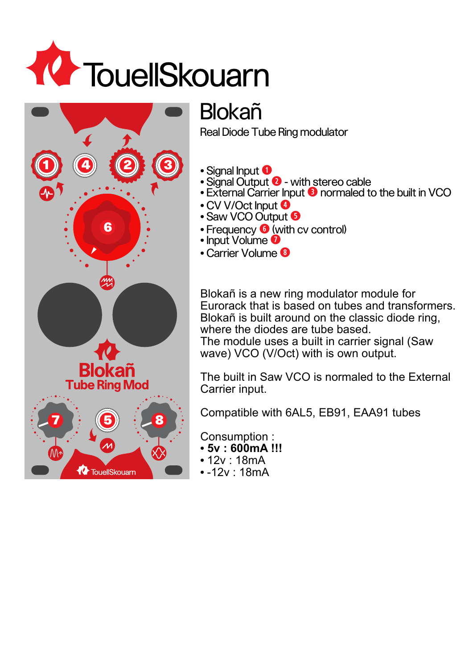



## Blokañ

Real Diode Tube Ring modulator

- **•** Signal Input **q**
- Signal Output **2** with stereo cable
- **•** External Carrier Input **e** normaled to the built in VCO
- **•** CV V/Oct Input **r**
- **•** Saw VCO Output **t**
- Frequency **6** (with cv control)
- **•** Input Volume **u**
- **•** Carrier Volume **i**

Blokañ is a new ring modulator module for Eurorack that is based on tubes and transformers. Blokañ is built around on the classic diode ring, where the diodes are tube based. The module uses a built in carrier signal (Saw

wave) VCO (V/Oct) with is own output.

The built in Saw VCO is normaled to the External Carrier input.

Compatible with 6AL5, EB91, EAA91 tubes

Consumption :

- **• 5v : 600mA !!!**
- **•** 12v : 18mA
- **•** -12v : 18mA